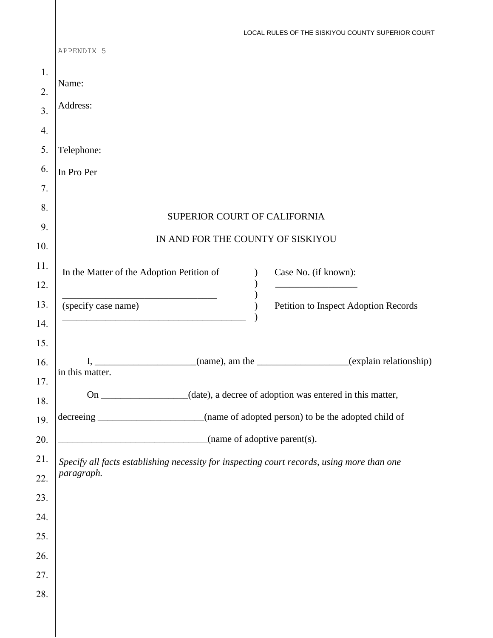|     | LOCAL RULES OF THE SISKIYOU COUNTY SUPERIOR COURT                                                           |
|-----|-------------------------------------------------------------------------------------------------------------|
|     | APPENDIX 5                                                                                                  |
| 1.  |                                                                                                             |
| 2.  | Name:                                                                                                       |
| 3.  | Address:                                                                                                    |
| 4.  |                                                                                                             |
| 5.  | Telephone:                                                                                                  |
| 6.  | In Pro Per                                                                                                  |
| 7.  |                                                                                                             |
| 8.  |                                                                                                             |
| 9.  | SUPERIOR COURT OF CALIFORNIA                                                                                |
| 10. | IN AND FOR THE COUNTY OF SISKIYOU                                                                           |
| 11. | In the Matter of the Adoption Petition of<br>Case No. (if known):                                           |
| 12. |                                                                                                             |
| 13. | (specify case name)<br>Petition to Inspect Adoption Records                                                 |
| 14. |                                                                                                             |
| 15. |                                                                                                             |
| 16. | (name), am the ____________________(explain relationship)<br>I,<br>in this matter.                          |
| 17. |                                                                                                             |
|     |                                                                                                             |
| 18. | On ________________(date), a decree of adoption was entered in this matter,                                 |
| 19. | (name of adopted person) to be the adopted child of<br>decreeing<br><u> 1980 - Johann Barbara, martin d</u> |
| 20. | $_$ (name of adoptive parent(s).                                                                            |
| 21. | Specify all facts establishing necessity for inspecting court records, using more than one                  |
| 22. | paragraph.                                                                                                  |
| 23. |                                                                                                             |
| 24. |                                                                                                             |
| 25. |                                                                                                             |
| 26. |                                                                                                             |
| 27. |                                                                                                             |
| 28. |                                                                                                             |
|     |                                                                                                             |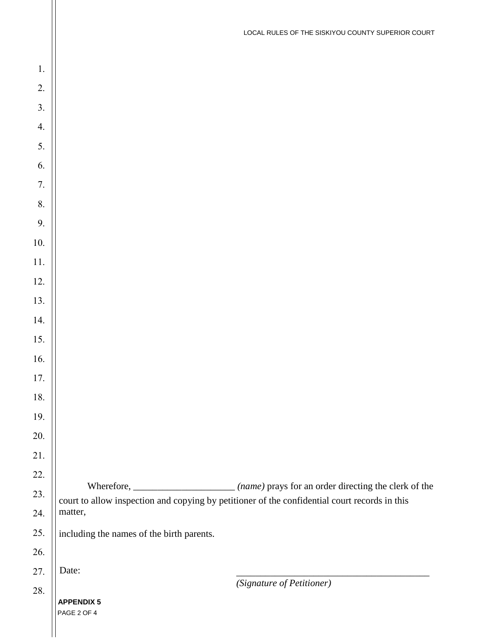| 1.               |                                                                                               |
|------------------|-----------------------------------------------------------------------------------------------|
| 2.               |                                                                                               |
| $\overline{3}$ . |                                                                                               |
| 4.               |                                                                                               |
| 5.               |                                                                                               |
| 6.               |                                                                                               |
| 7.               |                                                                                               |
| 8.               |                                                                                               |
| 9.               |                                                                                               |
| $10.$            |                                                                                               |
| 11.              |                                                                                               |
| 12.              |                                                                                               |
| 13.              |                                                                                               |
| 14.              |                                                                                               |
| 15.              |                                                                                               |
| 16.              |                                                                                               |
| 17.              |                                                                                               |
| $18.$            |                                                                                               |
| 19.              |                                                                                               |
| 20.              |                                                                                               |
| 21.              |                                                                                               |
| 22.              |                                                                                               |
| 23.              | court to allow inspection and copying by petitioner of the confidential court records in this |
| 24.              | matter,                                                                                       |
| 25.              | including the names of the birth parents.                                                     |
| 26.              |                                                                                               |
| 27.              | Date:                                                                                         |
| 28.              | (Signature of Petitioner)                                                                     |
|                  | <b>APPENDIX 5</b><br>PAGE 2 OF 4                                                              |
|                  |                                                                                               |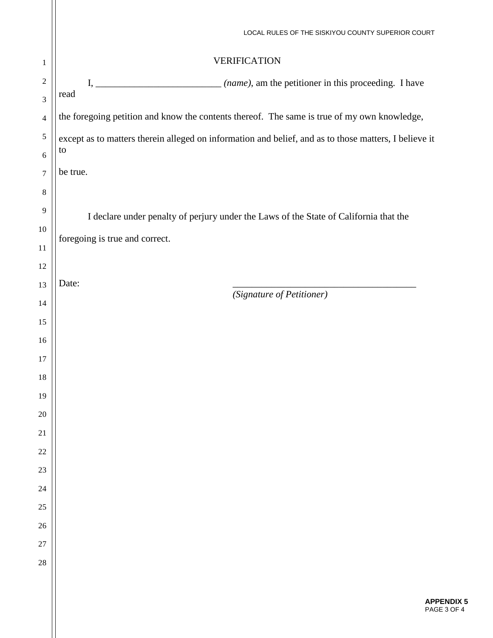|                  | LOCAL RULES OF THE SISKIYOU COUNTY SUPERIOR COURT                                                     |
|------------------|-------------------------------------------------------------------------------------------------------|
| $\mathbf{1}$     | <b>VERIFICATION</b>                                                                                   |
| $\overline{2}$   |                                                                                                       |
| $\mathfrak{Z}$   | read                                                                                                  |
| $\overline{4}$   | the foregoing petition and know the contents thereof. The same is true of my own knowledge,           |
| 5                | except as to matters therein alleged on information and belief, and as to those matters, I believe it |
| 6                | to                                                                                                    |
| $\boldsymbol{7}$ | be true.                                                                                              |
| $\,8\,$          |                                                                                                       |
| 9                | I declare under penalty of perjury under the Laws of the State of California that the                 |
| 10               | foregoing is true and correct.                                                                        |
| 11               |                                                                                                       |
| 12               |                                                                                                       |
| 13               | Date:<br>(Signature of Petitioner)                                                                    |
| 14               |                                                                                                       |
| 15               |                                                                                                       |
| 16               |                                                                                                       |
| 17               |                                                                                                       |
| 18               |                                                                                                       |
| 19               |                                                                                                       |
| $20\,$           |                                                                                                       |
| $21\,$           |                                                                                                       |
| $22\,$           |                                                                                                       |
| 23               |                                                                                                       |
| 24<br>25         |                                                                                                       |
| 26               |                                                                                                       |
| 27               |                                                                                                       |
| $28\,$           |                                                                                                       |
|                  |                                                                                                       |
|                  |                                                                                                       |